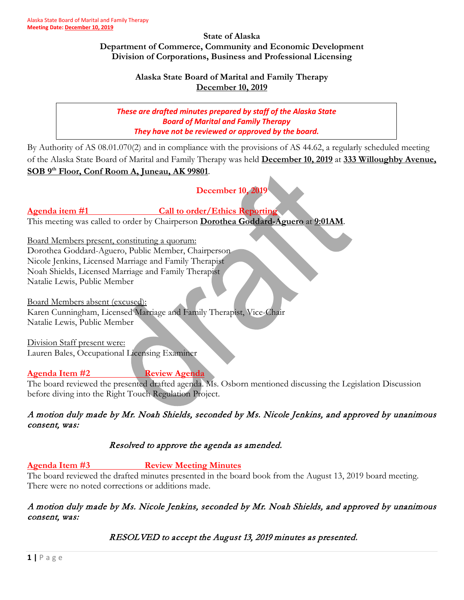#### **State of Alaska Department of Commerce, Community and Economic Development Division of Corporations, Business and Professional Licensing**

## **Alaska State Board of Marital and Family Therapy December 10, 2019**

*These are drafted minutes prepared by staff of the Alaska State Board of Marital and Family Therapy They have not be reviewed or approved by the board.*

By Authority of AS 08.01.070(2) and in compliance with the provisions of AS 44.62, a regularly scheduled meeting of the Alaska State Board of Marital and Family Therapy was held **December 10, 2019** at **333 Willoughby Avenue, SOB 9th Floor, Conf Room A, Juneau, AK 99801**.

**December 10, 2019**

# Agenda item #1 **Call to order/Ethics Reporting**

This meeting was called to order by Chairperson **Dorothea Goddard-Aguero** at **9:01AM**.

Board Members present, constituting a quorum: Dorothea Goddard-Aguero, Public Member, Chairperson Nicole Jenkins, Licensed Marriage and Family Therapist

Noah Shields, Licensed Marriage and Family Therapist

Natalie Lewis, Public Member

Board Members absent (excused): Karen Cunningham, Licensed Marriage and Family Therapist, Vice-Chair

Natalie Lewis, Public Member

Division Staff present were: Lauren Bales, Occupational Licensing Examiner

# Agenda Item #2 **Review Agenda**

The board reviewed the presented drafted agenda. Ms. Osborn mentioned discussing the Legislation Discussion before diving into the Right Touch Regulation Project.

A motion duly made by Mr. Noah Shields, seconded by Ms. Nicole Jenkins, and approved by unanimous consent, was:

# Resolved to approve the agenda as amended.

## **Agenda Item #3 Review Meeting Minutes**

The board reviewed the drafted minutes presented in the board book from the August 13, 2019 board meeting. There were no noted corrections or additions made.

# A motion duly made by Ms. Nicole Jenkins, seconded by Mr. Noah Shields, and approved by unanimous consent, was:

RESOLVED to accept the August 13, 2019 minutes as presented.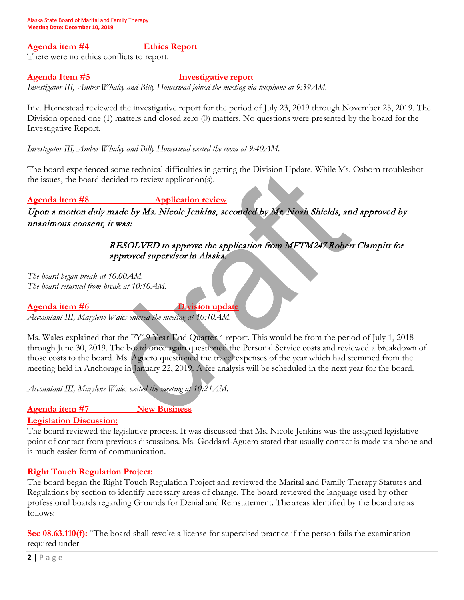#### **Agenda item #4 Ethics Report**

There were no ethics conflicts to report.

#### **Agenda Item #5 Investigative report**

*Investigator III, Amber Whaley and Billy Homestead joined the meeting via telephone at 9:39AM.* 

Inv. Homestead reviewed the investigative report for the period of July 23, 2019 through November 25, 2019. The Division opened one (1) matters and closed zero (0) matters. No questions were presented by the board for the Investigative Report.

*Investigator III, Amber Whaley and Billy Homestead exited the room at 9:40AM.* 

The board experienced some technical difficulties in getting the Division Update. While Ms. Osborn troubleshot the issues, the board decided to review application(s).

## **Agenda item #8 Application review**

Upon a motion duly made by Ms. Nicole Jenkins, seconded by Mr. Noah Shields, and approved by unanimous consent, it was:

# RESOLVED to approve the application from MFTM247 Robert Clampitt for approved supervisor in Alaska.

*The board began break at 10:00AM. The board returned from break at 10:10AM.* 

**Agenda item #6 Division update**

*Accountant III, Marylene Wales entered the meeting at 10:10AM.* 

Ms. Wales explained that the FY19 Year-End Quarter 4 report. This would be from the period of July 1, 2018 through June 30, 2019. The board once again questioned the Personal Service costs and reviewed a breakdown of those costs to the board. Ms. Aguero questioned the travel expenses of the year which had stemmed from the meeting held in Anchorage in January 22, 2019. A fee analysis will be scheduled in the next year for the board.

*Accountant III, Marylene Wales exited the meeting at 10:21AM.* 

## **Agenda item #7 New Business**

#### **Legislation Discussion:**

The board reviewed the legislative process. It was discussed that Ms. Nicole Jenkins was the assigned legislative point of contact from previous discussions. Ms. Goddard-Aguero stated that usually contact is made via phone and is much easier form of communication.

#### **Right Touch Regulation Project:**

The board began the Right Touch Regulation Project and reviewed the Marital and Family Therapy Statutes and Regulations by section to identify necessary areas of change. The board reviewed the language used by other professional boards regarding Grounds for Denial and Reinstatement. The areas identified by the board are as follows:

**Sec 08.63.110(f):** "The board shall revoke a license for supervised practice if the person fails the examination required under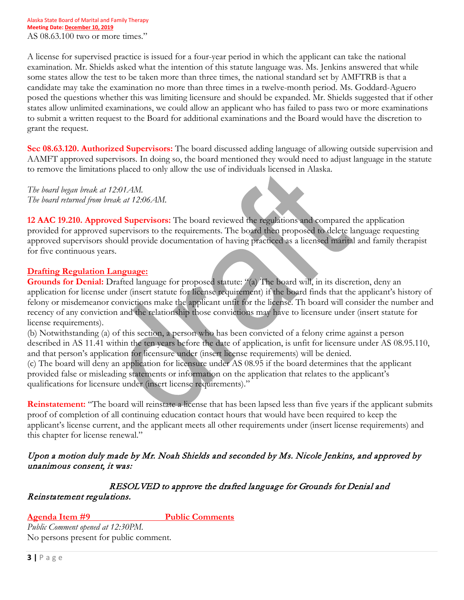A license for supervised practice is issued for a four-year period in which the applicant can take the national examination. Mr. Shields asked what the intention of this statute language was. Ms. Jenkins answered that while some states allow the test to be taken more than three times, the national standard set by AMFTRB is that a candidate may take the examination no more than three times in a twelve-month period. Ms. Goddard-Aguero posed the questions whether this was limiting licensure and should be expanded. Mr. Shields suggested that if other states allow unlimited examinations, we could allow an applicant who has failed to pass two or more examinations to submit a written request to the Board for additional examinations and the Board would have the discretion to grant the request.

**Sec 08.63.120. Authorized Supervisors:** The board discussed adding language of allowing outside supervision and AAMFT approved supervisors. In doing so, the board mentioned they would need to adjust language in the statute to remove the limitations placed to only allow the use of individuals licensed in Alaska.

*The board began break at 12:01AM. The board returned from break at 12:06AM.* 

**12 AAC 19.210. Approved Supervisors:** The board reviewed the regulations and compared the application provided for approved supervisors to the requirements. The board then proposed to delete language requesting approved supervisors should provide documentation of having practiced as a licensed marital and family therapist for five continuous years.

## **Drafting Regulation Language:**

**Grounds for Denial:** Drafted language for proposed statute: "(a) The board will, in its discretion, deny an application for license under (insert statute for license requirement) if the board finds that the applicant's history of felony or misdemeanor convictions make the applicant unfit for the license. Th board will consider the number and recency of any conviction and the relationship those convictions may have to licensure under (insert statute for license requirements).

(b) Notwithstanding (a) of this section, a person who has been convicted of a felony crime against a person described in AS 11.41 within the ten years before the date of application, is unfit for licensure under AS 08.95.110, and that person's application for licensure under (insert license requirements) will be denied.

(c) The board will deny an application for licensure under AS 08.95 if the board determines that the applicant provided false or misleading statements or information on the application that relates to the applicant's qualifications for licensure under (insert license requirements)."

**Reinstatement:** "The board will reinstate a license that has been lapsed less than five years if the applicant submits proof of completion of all continuing education contact hours that would have been required to keep the applicant's license current, and the applicant meets all other requirements under (insert license requirements) and this chapter for license renewal."

# Upon a motion duly made by Mr. Noah Shields and seconded by Ms. Nicole Jenkins, and approved by unanimous consent, it was:

 RESOLVED to approve the drafted language for Grounds for Denial and Reinstatement regulations.

**Agenda Item #9 Public Comments**

*Public Comment opened at 12:30PM.*  No persons present for public comment.